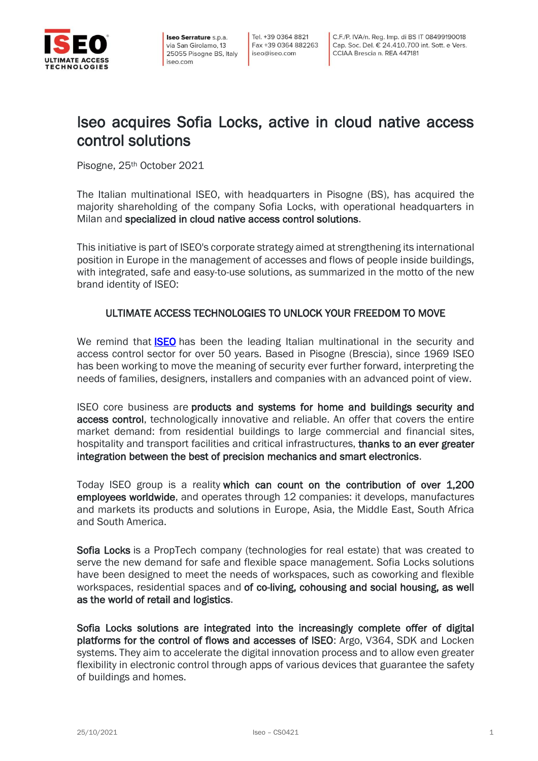

Iseo Serrature s.p.a. via San Girolamo, 13 25055 Pisogne BS, Italy iseo.com

## Iseo acquires Sofia Locks, active in cloud native access control solutions

Pisogne, 25th October 2021

The Italian multinational ISEO, with headquarters in Pisogne (BS), has acquired the majority shareholding of the company Sofia Locks, with operational headquarters in Milan and specialized in cloud native access control solutions.

This initiative is part of ISEO's corporate strategy aimed at strengthening its international position in Europe in the management of accesses and flows of people inside buildings, with integrated, safe and easy-to-use solutions, as summarized in the motto of the new brand identity of ISEO:

## ULTIMATE ACCESS TECHNOLOGIES TO UNLOCK YOUR FREEDOM TO MOVE

We remind that **[ISEO](https://www.iseo.com/)** has been the leading Italian multinational in the security and access control sector for over 50 years. Based in Pisogne (Brescia), since 1969 ISEO has been working to move the meaning of security ever further forward, interpreting the needs of families, designers, installers and companies with an advanced point of view.

ISEO core business are products and systems for home and buildings security and access control, technologically innovative and reliable. An offer that covers the entire market demand: from residential buildings to large commercial and financial sites, hospitality and transport facilities and critical infrastructures, thanks to an ever greater integration between the best of precision mechanics and smart electronics.

Today ISEO group is a reality which can count on the contribution of over 1,200 employees worldwide, and operates through 12 companies: it develops, manufactures and markets its products and solutions in Europe, Asia, the Middle East, South Africa and South America.

Sofia Locks is a PropTech company (technologies for real estate) that was created to serve the new demand for safe and flexible space management. Sofia Locks solutions have been designed to meet the needs of workspaces, such as coworking and flexible workspaces, residential spaces and of co-living, cohousing and social housing, as well as the world of retail and logistics.

Sofia Locks solutions are integrated into the increasingly complete offer of digital platforms for the control of flows and accesses of ISEO: Argo, V364, SDK and Locken systems. They aim to accelerate the digital innovation process and to allow even greater flexibility in electronic control through apps of various devices that guarantee the safety of buildings and homes.